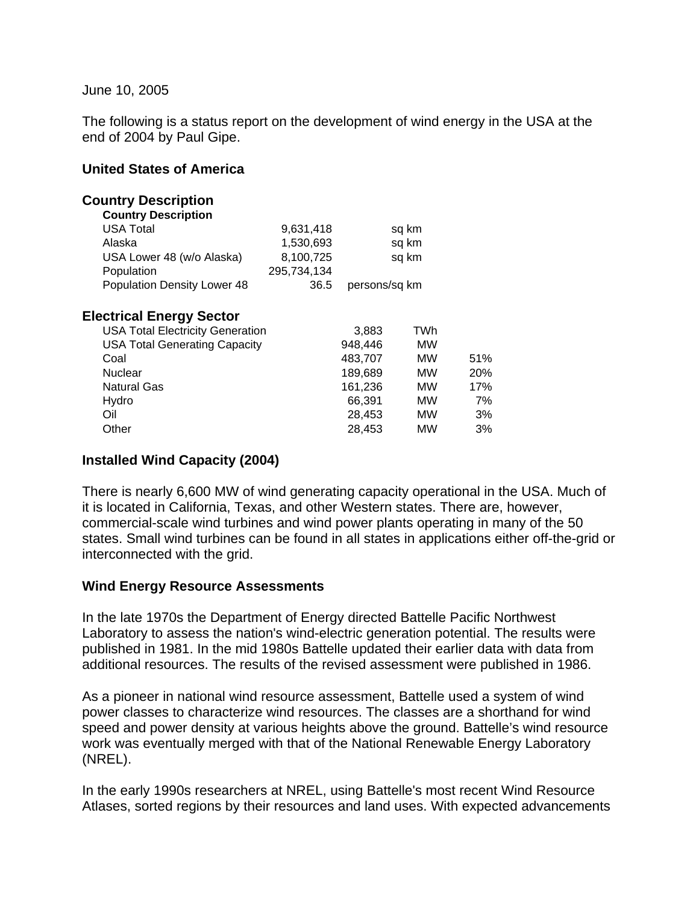#### June 10, 2005

The following is a status report on the development of wind energy in the USA at the end of 2004 by Paul Gipe.

#### **United States of America**

| 9,631,418                               |               |     |       |
|-----------------------------------------|---------------|-----|-------|
| 1,530,693                               | sq km         |     |       |
| 8,100,725                               | sq km         |     |       |
| 295,734,134                             |               |     |       |
| 36.5                                    | persons/sq km |     |       |
|                                         |               |     |       |
| <b>USA Total Electricity Generation</b> | 3,883         | TWh |       |
| <b>USA Total Generating Capacity</b>    | 948,446       | МW  |       |
|                                         | 483,707       | МW  | 51%   |
|                                         | 189,689       | МW  | 20%   |
|                                         | 161,236       | МW  | 17%   |
|                                         | 66,391        | МW  | 7%    |
|                                         | 28,453        | МW  | 3%    |
|                                         | 28,453        | МW  | 3%    |
|                                         |               |     | sq km |

## **Installed Wind Capacity (2004)**

There is nearly 6,600 MW of wind generating capacity operational in the USA. Much of it is located in California, Texas, and other Western states. There are, however, commercial-scale wind turbines and wind power plants operating in many of the 50 states. Small wind turbines can be found in all states in applications either off-the-grid or interconnected with the grid.

## **Wind Energy Resource Assessments**

In the late 1970s the Department of Energy directed Battelle Pacific Northwest Laboratory to assess the nation's wind-electric generation potential. The results were published in 1981. In the mid 1980s Battelle updated their earlier data with data from additional resources. The results of the revised assessment were published in 1986.

As a pioneer in national wind resource assessment, Battelle used a system of wind power classes to characterize wind resources. The classes are a shorthand for wind speed and power density at various heights above the ground. Battelle's wind resource work was eventually merged with that of the National Renewable Energy Laboratory (NREL).

In the early 1990s researchers at NREL, using Battelle's most recent Wind Resource Atlases, sorted regions by their resources and land uses. With expected advancements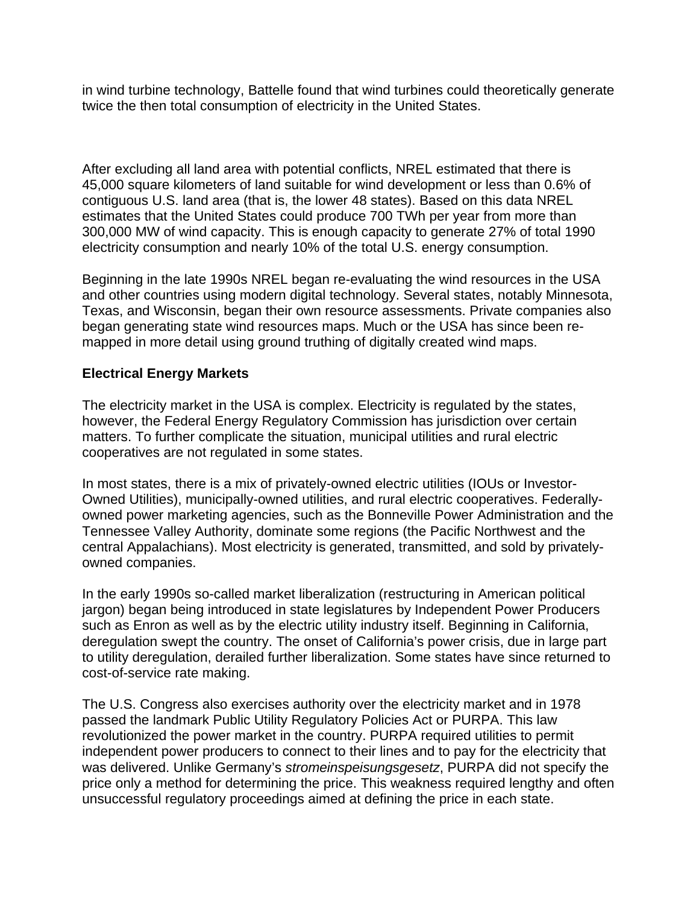in wind turbine technology, Battelle found that wind turbines could theoretically generate twice the then total consumption of electricity in the United States.

After excluding all land area with potential conflicts, NREL estimated that there is 45,000 square kilometers of land suitable for wind development or less than 0.6% of contiguous U.S. land area (that is, the lower 48 states). Based on this data NREL estimates that the United States could produce 700 TWh per year from more than 300,000 MW of wind capacity. This is enough capacity to generate 27% of total 1990 electricity consumption and nearly 10% of the total U.S. energy consumption.

Beginning in the late 1990s NREL began re-evaluating the wind resources in the USA and other countries using modern digital technology. Several states, notably Minnesota, Texas, and Wisconsin, began their own resource assessments. Private companies also began generating state wind resources maps. Much or the USA has since been remapped in more detail using ground truthing of digitally created wind maps.

## **Electrical Energy Markets**

The electricity market in the USA is complex. Electricity is regulated by the states, however, the Federal Energy Regulatory Commission has jurisdiction over certain matters. To further complicate the situation, municipal utilities and rural electric cooperatives are not regulated in some states.

In most states, there is a mix of privately-owned electric utilities (IOUs or Investor-Owned Utilities), municipally-owned utilities, and rural electric cooperatives. Federallyowned power marketing agencies, such as the Bonneville Power Administration and the Tennessee Valley Authority, dominate some regions (the Pacific Northwest and the central Appalachians). Most electricity is generated, transmitted, and sold by privatelyowned companies.

In the early 1990s so-called market liberalization (restructuring in American political jargon) began being introduced in state legislatures by Independent Power Producers such as Enron as well as by the electric utility industry itself. Beginning in California, deregulation swept the country. The onset of California's power crisis, due in large part to utility deregulation, derailed further liberalization. Some states have since returned to cost-of-service rate making.

The U.S. Congress also exercises authority over the electricity market and in 1978 passed the landmark Public Utility Regulatory Policies Act or PURPA. This law revolutionized the power market in the country. PURPA required utilities to permit independent power producers to connect to their lines and to pay for the electricity that was delivered. Unlike Germany's *stromeinspeisungsgesetz*, PURPA did not specify the price only a method for determining the price. This weakness required lengthy and often unsuccessful regulatory proceedings aimed at defining the price in each state.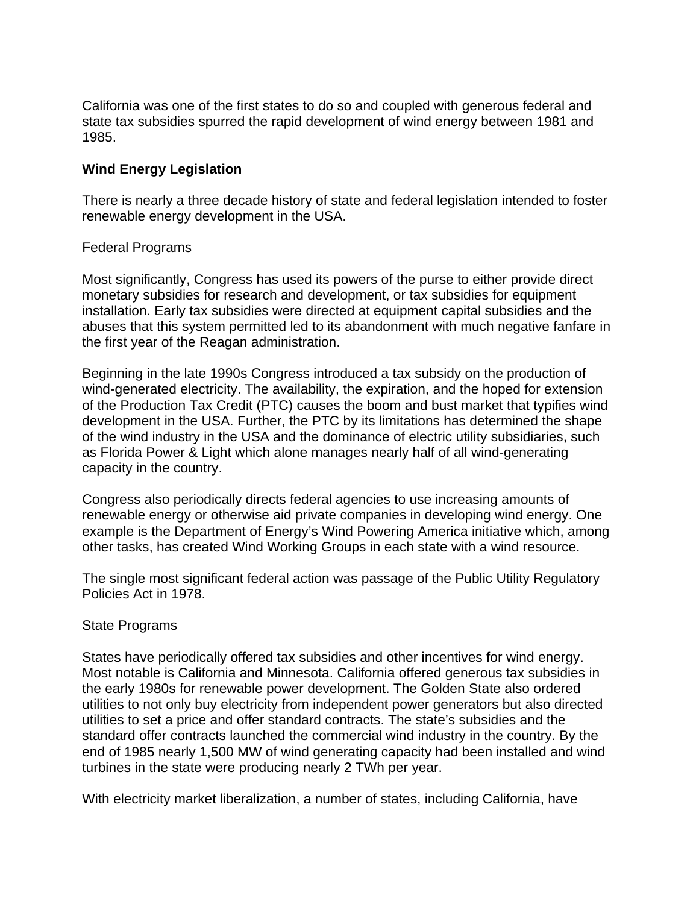California was one of the first states to do so and coupled with generous federal and state tax subsidies spurred the rapid development of wind energy between 1981 and 1985.

## **Wind Energy Legislation**

There is nearly a three decade history of state and federal legislation intended to foster renewable energy development in the USA.

## Federal Programs

Most significantly, Congress has used its powers of the purse to either provide direct monetary subsidies for research and development, or tax subsidies for equipment installation. Early tax subsidies were directed at equipment capital subsidies and the abuses that this system permitted led to its abandonment with much negative fanfare in the first year of the Reagan administration.

Beginning in the late 1990s Congress introduced a tax subsidy on the production of wind-generated electricity. The availability, the expiration, and the hoped for extension of the Production Tax Credit (PTC) causes the boom and bust market that typifies wind development in the USA. Further, the PTC by its limitations has determined the shape of the wind industry in the USA and the dominance of electric utility subsidiaries, such as Florida Power & Light which alone manages nearly half of all wind-generating capacity in the country.

Congress also periodically directs federal agencies to use increasing amounts of renewable energy or otherwise aid private companies in developing wind energy. One example is the Department of Energy's Wind Powering America initiative which, among other tasks, has created Wind Working Groups in each state with a wind resource.

The single most significant federal action was passage of the Public Utility Regulatory Policies Act in 1978.

## State Programs

States have periodically offered tax subsidies and other incentives for wind energy. Most notable is California and Minnesota. California offered generous tax subsidies in the early 1980s for renewable power development. The Golden State also ordered utilities to not only buy electricity from independent power generators but also directed utilities to set a price and offer standard contracts. The state's subsidies and the standard offer contracts launched the commercial wind industry in the country. By the end of 1985 nearly 1,500 MW of wind generating capacity had been installed and wind turbines in the state were producing nearly 2 TWh per year.

With electricity market liberalization, a number of states, including California, have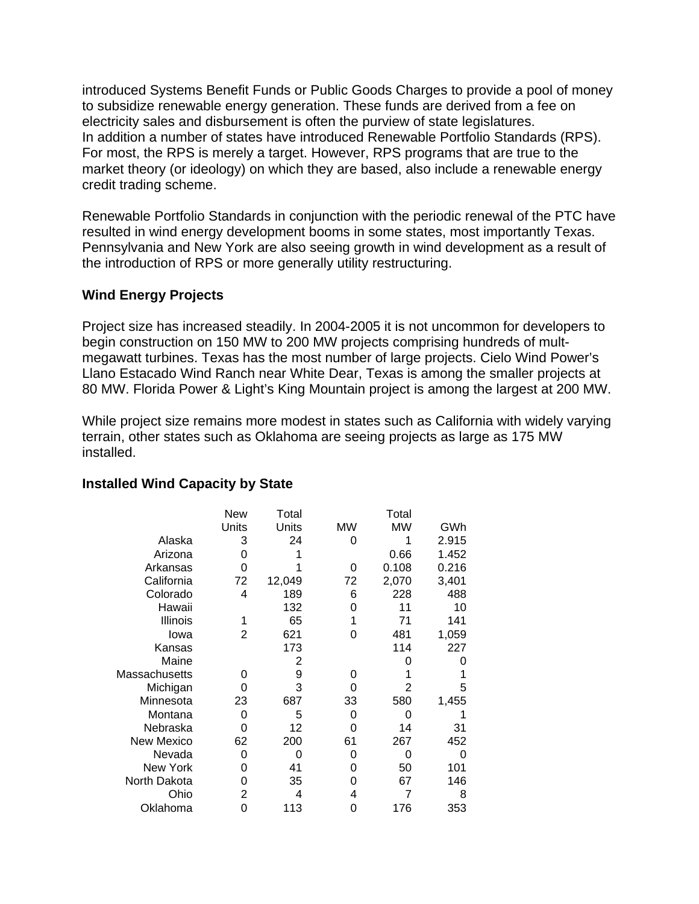introduced Systems Benefit Funds or Public Goods Charges to provide a pool of money to subsidize renewable energy generation. These funds are derived from a fee on electricity sales and disbursement is often the purview of state legislatures. In addition a number of states have introduced Renewable Portfolio Standards (RPS). For most, the RPS is merely a target. However, RPS programs that are true to the market theory (or ideology) on which they are based, also include a renewable energy credit trading scheme.

Renewable Portfolio Standards in conjunction with the periodic renewal of the PTC have resulted in wind energy development booms in some states, most importantly Texas. Pennsylvania and New York are also seeing growth in wind development as a result of the introduction of RPS or more generally utility restructuring.

# **Wind Energy Projects**

Project size has increased steadily. In 2004-2005 it is not uncommon for developers to begin construction on 150 MW to 200 MW projects comprising hundreds of multmegawatt turbines. Texas has the most number of large projects. Cielo Wind Power's Llano Estacado Wind Ranch near White Dear, Texas is among the smaller projects at 80 MW. Florida Power & Light's King Mountain project is among the largest at 200 MW.

While project size remains more modest in states such as California with widely varying terrain, other states such as Oklahoma are seeing projects as large as 175 MW installed.

|                   | New   | Total  |           | Total     |       |
|-------------------|-------|--------|-----------|-----------|-------|
|                   | Units | Units  | <b>MW</b> | <b>MW</b> | GWh   |
| Alaska            | 3     | 24     | 0         |           | 2.915 |
| Arizona           | O     |        |           | 0.66      | 1.452 |
| Arkansas          | 0     |        | 0         | 0.108     | 0.216 |
| California        | 72    | 12,049 | 72        | 2,070     | 3,401 |
| Colorado          | 4     | 189    | 6         | 228       | 488   |
| Hawaii            |       | 132    | ი         | 11        | 10    |
| Illinois          | 1     | 65     |           | 71        | 141   |
| Iowa              | 2     | 621    | O         | 481       | 1,059 |
| Kansas            |       | 173    |           | 114       | 227   |
| Maine             |       | 2      |           |           |       |
| Massachusetts     | O     | 9      | O         |           |       |
| Michigan          | O     | 3      | ი         |           | 5     |
| Minnesota         | 23    | 687    | 33        | 580       | 1,455 |
| Montana           | 0     | 5      | 0         |           |       |
| Nebraska          | O     | 12     |           | 14        | 31    |
| <b>New Mexico</b> | 62    | 200    | 61        | 267       | 452   |
| Nevada            | 0     | 0      | 0         | 0         | 0     |
| <b>New York</b>   | 0     | 41     | O         | 50        | 101   |
| North Dakota      | O     | 35     | O         | 67        | 146   |
| Ohio              | 2     | 4      | 4         | 7         | 8     |
| Oklahoma          | 0     | 113    | 0         | 176       | 353   |

## **Installed Wind Capacity by State**